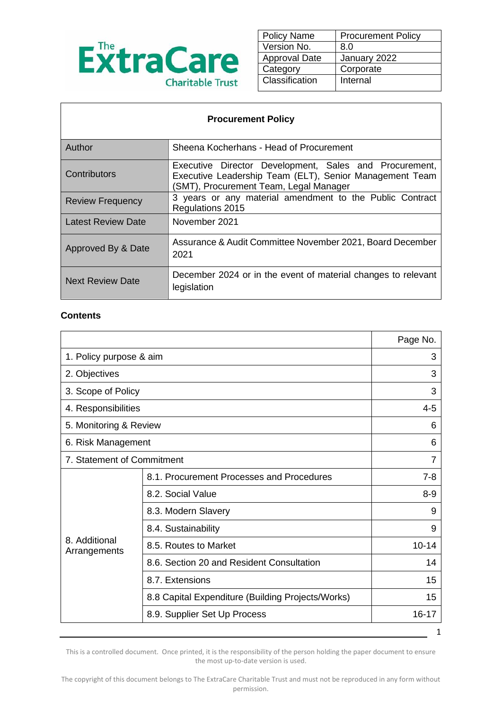

| <b>Policy Name</b>   | <b>Procurement Policy</b> |
|----------------------|---------------------------|
| Version No.          | 8.0                       |
| <b>Approval Date</b> | January 2022              |
| Category             | Corporate                 |
| Classification       | Internal                  |
|                      |                           |

| <b>Procurement Policy</b> |                                                                                                                                                             |  |
|---------------------------|-------------------------------------------------------------------------------------------------------------------------------------------------------------|--|
| Author                    | Sheena Kocherhans - Head of Procurement                                                                                                                     |  |
| Contributors              | Executive Director Development, Sales and Procurement,<br>Executive Leadership Team (ELT), Senior Management Team<br>(SMT), Procurement Team, Legal Manager |  |
| <b>Review Frequency</b>   | 3 years or any material amendment to the Public Contract<br>Regulations 2015                                                                                |  |
| Latest Review Date        | November 2021                                                                                                                                               |  |
| Approved By & Date        | Assurance & Audit Committee November 2021, Board December<br>2021                                                                                           |  |
| <b>Next Review Date</b>   | December 2024 or in the event of material changes to relevant<br>legislation                                                                                |  |

#### **Contents**

 $\mathsf{r}$ 

|                               |                                                   | Page No.  |
|-------------------------------|---------------------------------------------------|-----------|
| 1. Policy purpose & aim       |                                                   | 3         |
| 2. Objectives                 |                                                   | 3         |
| 3. Scope of Policy            |                                                   | 3         |
| 4. Responsibilities           |                                                   | $4 - 5$   |
| 5. Monitoring & Review        |                                                   | 6         |
| 6. Risk Management            |                                                   | 6         |
| 7. Statement of Commitment    |                                                   | 7         |
| 8. Additional<br>Arrangements | 8.1. Procurement Processes and Procedures         | 7-8       |
|                               | 8.2. Social Value                                 | $8 - 9$   |
|                               | 8.3. Modern Slavery                               | 9         |
|                               | 8.4. Sustainability                               | 9         |
|                               | 8.5. Routes to Market                             | $10 - 14$ |
|                               | 8.6. Section 20 and Resident Consultation         | 14        |
|                               | 8.7. Extensions                                   | 15        |
|                               | 8.8 Capital Expenditure (Building Projects/Works) | 15        |
|                               | 8.9. Supplier Set Up Process                      | 16-17     |
|                               |                                                   | 1         |

This is a controlled document. Once printed, it is the responsibility of the person holding the paper document to ensure the most up-to-date version is used.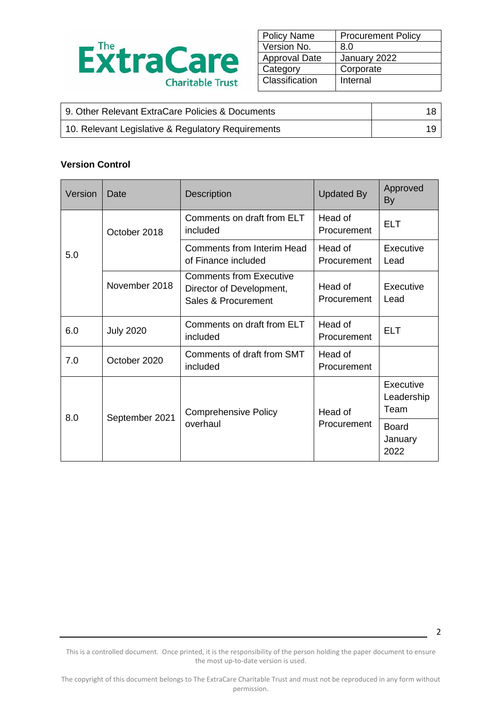

| <b>Policy Name</b>   | <b>Procurement Policy</b> |
|----------------------|---------------------------|
| Version No.          | 8.0                       |
| <b>Approval Date</b> | January 2022              |
| Category             | Corporate                 |
| Classification       | Internal                  |

| 9. Other Relevant ExtraCare Policies & Documents   |  |
|----------------------------------------------------|--|
| 10. Relevant Legislative & Regulatory Requirements |  |

#### **Version Control**

| Version       | Date             | <b>Description</b>                                                                | <b>Updated By</b>      | Approved<br>By                  |
|---------------|------------------|-----------------------------------------------------------------------------------|------------------------|---------------------------------|
|               | October 2018     | Comments on draft from ELT<br>included                                            | Head of<br>Procurement | <b>ELT</b>                      |
| 5.0           |                  | Comments from Interim Head<br>of Finance included                                 | Head of<br>Procurement | Executive<br>Lead               |
| November 2018 |                  | <b>Comments from Executive</b><br>Director of Development,<br>Sales & Procurement | Head of<br>Procurement | Executive<br>Lead               |
| 6.0           | <b>July 2020</b> | Comments on draft from ELT<br>included                                            | Head of<br>Procurement | <b>ELT</b>                      |
| 7.0           | October 2020     | Comments of draft from SMT<br>included                                            | Head of<br>Procurement |                                 |
|               |                  | <b>Comprehensive Policy</b>                                                       | Head of                | Executive<br>Leadership<br>Team |
| 8.0           | September 2021   | overhaul                                                                          | Procurement            | <b>Board</b><br>January<br>2022 |

This is a controlled document. Once printed, it is the responsibility of the person holding the paper document to ensure the most up-to-date version is used.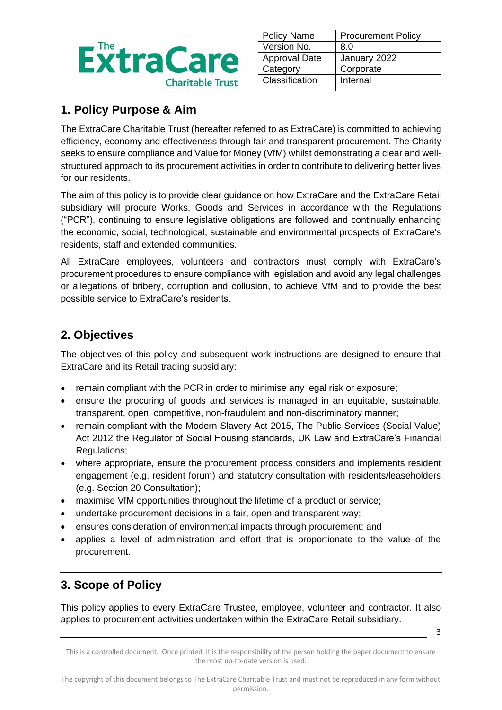

| <b>Policy Name</b>   | <b>Procurement Policy</b> |
|----------------------|---------------------------|
| Version No.          | 8.0                       |
| <b>Approval Date</b> | January 2022              |
| Category             | Corporate                 |
| Classification       | Internal                  |
|                      |                           |

# **1. Policy Purpose & Aim**

The ExtraCare Charitable Trust (hereafter referred to as ExtraCare) is committed to achieving efficiency, economy and effectiveness through fair and transparent procurement. The Charity seeks to ensure compliance and Value for Money (VfM) whilst demonstrating a clear and wellstructured approach to its procurement activities in order to contribute to delivering better lives for our residents.

The aim of this policy is to provide clear guidance on how ExtraCare and the ExtraCare Retail subsidiary will procure Works, Goods and Services in accordance with the Regulations ("PCR"), continuing to ensure legislative obligations are followed and continually enhancing the economic, social, technological, sustainable and environmental prospects of ExtraCare's residents, staff and extended communities.

All ExtraCare employees, volunteers and contractors must comply with ExtraCare's procurement procedures to ensure compliance with legislation and avoid any legal challenges or allegations of bribery, corruption and collusion, to achieve VfM and to provide the best possible service to ExtraCare's residents.

# **2. Objectives**

The objectives of this policy and subsequent work instructions are designed to ensure that ExtraCare and its Retail trading subsidiary:

- remain compliant with the PCR in order to minimise any legal risk or exposure;
- ensure the procuring of goods and services is managed in an equitable, sustainable, transparent, open, competitive, non-fraudulent and non-discriminatory manner;
- remain compliant with the Modern Slavery Act 2015, The Public Services (Social Value) Act 2012 the Regulator of Social Housing standards, UK Law and ExtraCare's Financial Regulations;
- where appropriate, ensure the procurement process considers and implements resident engagement (e.g. resident forum) and statutory consultation with residents/leaseholders (e.g. Section 20 Consultation);
- maximise VfM opportunities throughout the lifetime of a product or service;
- undertake procurement decisions in a fair, open and transparent way;
- ensures consideration of environmental impacts through procurement; and
- applies a level of administration and effort that is proportionate to the value of the procurement.

# **3. Scope of Policy**

This policy applies to every ExtraCare Trustee, employee, volunteer and contractor. It also applies to procurement activities undertaken within the ExtraCare Retail subsidiary.

This is a controlled document. Once printed, it is the responsibility of the person holding the paper document to ensure the most up-to-date version is used.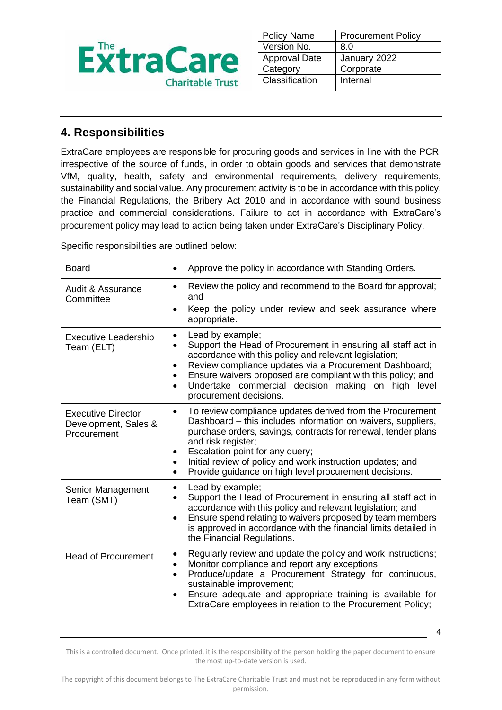

| <b>Policy Name</b>   | <b>Procurement Policy</b> |
|----------------------|---------------------------|
| Version No.          | 8.0                       |
| <b>Approval Date</b> | January 2022              |
| Category             | Corporate                 |
| Classification       | Internal                  |
|                      |                           |

# **4. Responsibilities**

ExtraCare employees are responsible for procuring goods and services in line with the PCR, irrespective of the source of funds, in order to obtain goods and services that demonstrate VfM, quality, health, safety and environmental requirements, delivery requirements, sustainability and social value. Any procurement activity is to be in accordance with this policy, the Financial Regulations, the Bribery Act 2010 and in accordance with sound business practice and commercial considerations. Failure to act in accordance with ExtraCare's procurement policy may lead to action being taken under ExtraCare's Disciplinary Policy.

Specific responsibilities are outlined below:

| <b>Board</b>                                                     | Approve the policy in accordance with Standing Orders.<br>$\bullet$                                                                                                                                                                                                                                                                                                                                                            |
|------------------------------------------------------------------|--------------------------------------------------------------------------------------------------------------------------------------------------------------------------------------------------------------------------------------------------------------------------------------------------------------------------------------------------------------------------------------------------------------------------------|
| <b>Audit &amp; Assurance</b><br>Committee                        | Review the policy and recommend to the Board for approval;<br>$\bullet$<br>and<br>Keep the policy under review and seek assurance where<br>$\bullet$<br>appropriate.                                                                                                                                                                                                                                                           |
| <b>Executive Leadership</b><br>Team (ELT)                        | Lead by example;<br>$\bullet$<br>Support the Head of Procurement in ensuring all staff act in<br>$\bullet$<br>accordance with this policy and relevant legislation;<br>Review compliance updates via a Procurement Dashboard;<br>$\bullet$<br>Ensure waivers proposed are compliant with this policy; and<br>$\bullet$<br>Undertake commercial decision making on high level<br>$\bullet$<br>procurement decisions.            |
| <b>Executive Director</b><br>Development, Sales &<br>Procurement | To review compliance updates derived from the Procurement<br>$\bullet$<br>Dashboard - this includes information on waivers, suppliers,<br>purchase orders, savings, contracts for renewal, tender plans<br>and risk register;<br>Escalation point for any query;<br>$\bullet$<br>Initial review of policy and work instruction updates; and<br>$\bullet$<br>Provide guidance on high level procurement decisions.<br>$\bullet$ |
| Senior Management<br>Team (SMT)                                  | Lead by example;<br>$\bullet$<br>Support the Head of Procurement in ensuring all staff act in<br>$\bullet$<br>accordance with this policy and relevant legislation; and<br>Ensure spend relating to waivers proposed by team members<br>$\bullet$<br>is approved in accordance with the financial limits detailed in<br>the Financial Regulations.                                                                             |
| <b>Head of Procurement</b>                                       | Regularly review and update the policy and work instructions;<br>٠<br>Monitor compliance and report any exceptions;<br>$\bullet$<br>Produce/update a Procurement Strategy for continuous,<br>$\bullet$<br>sustainable improvement;<br>Ensure adequate and appropriate training is available for<br>$\bullet$<br>ExtraCare employees in relation to the Procurement Policy;                                                     |

This is a controlled document. Once printed, it is the responsibility of the person holding the paper document to ensure the most up-to-date version is used.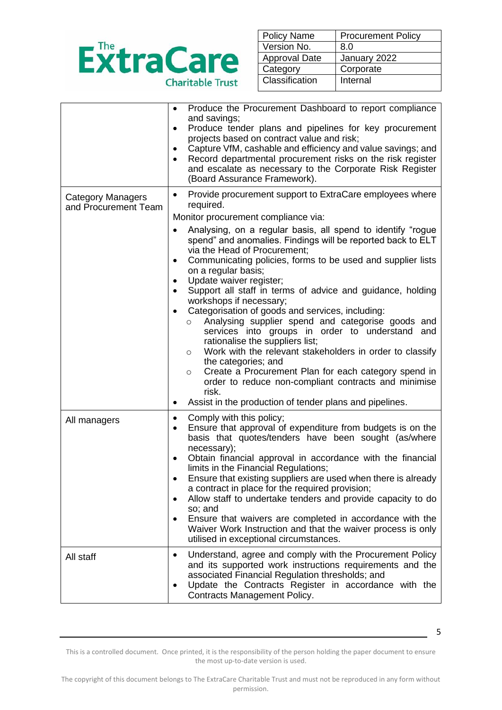

| <b>Policy Name</b>   | <b>Procurement Policy</b> |
|----------------------|---------------------------|
| Version No.          | 8.0                       |
| <b>Approval Date</b> | January 2022              |
| Category             | Corporate                 |
| Classification       | Internal                  |
|                      |                           |

|                                                  | Produce the Procurement Dashboard to report compliance<br>$\bullet$<br>and savings;<br>Produce tender plans and pipelines for key procurement<br>٠<br>projects based on contract value and risk;<br>Capture VfM, cashable and efficiency and value savings; and<br>Record departmental procurement risks on the risk register<br>and escalate as necessary to the Corporate Risk Register<br>(Board Assurance Framework).                                                                                                                                                                                                                                                                                                                                                                                                                                                                                                                                                                                                                                         |
|--------------------------------------------------|-------------------------------------------------------------------------------------------------------------------------------------------------------------------------------------------------------------------------------------------------------------------------------------------------------------------------------------------------------------------------------------------------------------------------------------------------------------------------------------------------------------------------------------------------------------------------------------------------------------------------------------------------------------------------------------------------------------------------------------------------------------------------------------------------------------------------------------------------------------------------------------------------------------------------------------------------------------------------------------------------------------------------------------------------------------------|
| <b>Category Managers</b><br>and Procurement Team | Provide procurement support to ExtraCare employees where<br>$\bullet$<br>required.<br>Monitor procurement compliance via:<br>Analysing, on a regular basis, all spend to identify "rogue<br>spend" and anomalies. Findings will be reported back to ELT<br>via the Head of Procurement;<br>Communicating policies, forms to be used and supplier lists<br>$\bullet$<br>on a regular basis;<br>Update waiver register;<br>$\bullet$<br>Support all staff in terms of advice and guidance, holding<br>$\bullet$<br>workshops if necessary;<br>Categorisation of goods and services, including:<br>$\bullet$<br>Analysing supplier spend and categorise goods and<br>$\circ$<br>services into groups in order to understand and<br>rationalise the suppliers list;<br>Work with the relevant stakeholders in order to classify<br>$\circ$<br>the categories; and<br>Create a Procurement Plan for each category spend in<br>$\circ$<br>order to reduce non-compliant contracts and minimise<br>risk.<br>Assist in the production of tender plans and pipelines.<br>٠ |
| All managers                                     | Comply with this policy;<br>٠<br>Ensure that approval of expenditure from budgets is on the<br>٠<br>basis that quotes/tenders have been sought (as/where<br>necessary);<br>Obtain financial approval in accordance with the financial<br>$\bullet$<br>limits in the Financial Regulations;<br>Ensure that existing suppliers are used when there is already<br>a contract in place for the required provision;<br>Allow staff to undertake tenders and provide capacity to do<br>$\bullet$<br>so; and<br>Ensure that waivers are completed in accordance with the<br>Waiver Work Instruction and that the waiver process is only<br>utilised in exceptional circumstances.                                                                                                                                                                                                                                                                                                                                                                                        |
| All staff                                        | Understand, agree and comply with the Procurement Policy<br>٠<br>and its supported work instructions requirements and the<br>associated Financial Regulation thresholds; and<br>Update the Contracts Register in accordance with the<br>٠<br>Contracts Management Policy.                                                                                                                                                                                                                                                                                                                                                                                                                                                                                                                                                                                                                                                                                                                                                                                         |

This is a controlled document. Once printed, it is the responsibility of the person holding the paper document to ensure the most up-to-date version is used.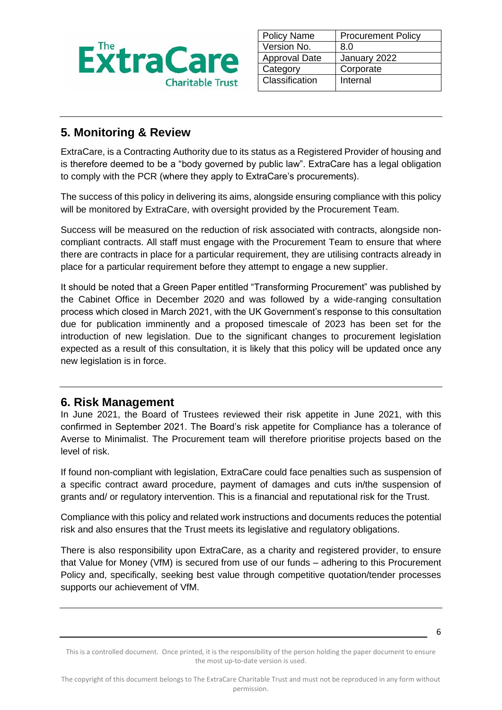

| <b>Policy Name</b>   | <b>Procurement Policy</b> |
|----------------------|---------------------------|
| Version No.          | 8.0                       |
| <b>Approval Date</b> | January 2022              |
| Category             | Corporate                 |
| Classification       | Internal                  |
|                      |                           |

# **5. Monitoring & Review**

ExtraCare, is a Contracting Authority due to its status as a Registered Provider of housing and is therefore deemed to be a "body governed by public law". ExtraCare has a legal obligation to comply with the PCR (where they apply to ExtraCare's procurements).

The success of this policy in delivering its aims, alongside ensuring compliance with this policy will be monitored by ExtraCare, with oversight provided by the Procurement Team.

Success will be measured on the reduction of risk associated with contracts, alongside noncompliant contracts. All staff must engage with the Procurement Team to ensure that where there are contracts in place for a particular requirement, they are utilising contracts already in place for a particular requirement before they attempt to engage a new supplier.

It should be noted that a Green Paper entitled "Transforming Procurement" was published by the Cabinet Office in December 2020 and was followed by a wide-ranging consultation process which closed in March 2021, with the UK Government's response to this consultation due for publication imminently and a proposed timescale of 2023 has been set for the introduction of new legislation. Due to the significant changes to procurement legislation expected as a result of this consultation, it is likely that this policy will be updated once any new legislation is in force.

### **6. Risk Management**

In June 2021, the Board of Trustees reviewed their risk appetite in June 2021, with this confirmed in September 2021. The Board's risk appetite for Compliance has a tolerance of Averse to Minimalist. The Procurement team will therefore prioritise projects based on the level of risk.

If found non-compliant with legislation, ExtraCare could face penalties such as suspension of a specific contract award procedure, payment of damages and cuts in/the suspension of grants and/ or regulatory intervention. This is a financial and reputational risk for the Trust.

Compliance with this policy and related work instructions and documents reduces the potential risk and also ensures that the Trust meets its legislative and regulatory obligations.

There is also responsibility upon ExtraCare, as a charity and registered provider, to ensure that Value for Money (VfM) is secured from use of our funds – adhering to this Procurement Policy and, specifically, seeking best value through competitive quotation/tender processes supports our achievement of VfM.

This is a controlled document. Once printed, it is the responsibility of the person holding the paper document to ensure the most up-to-date version is used.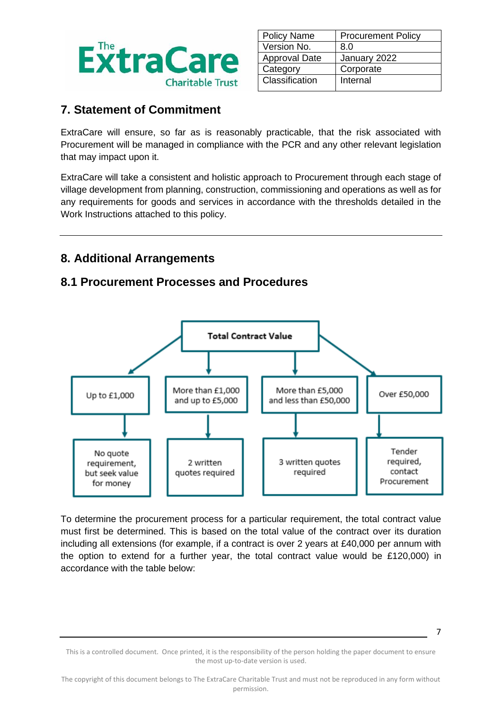

| <b>Policy Name</b>   | <b>Procurement Policy</b> |
|----------------------|---------------------------|
| Version No.          | 8.0                       |
| <b>Approval Date</b> | January 2022              |
| Category             | Corporate                 |
| Classification       | Internal                  |
|                      |                           |

### **7. Statement of Commitment**

ExtraCare will ensure, so far as is reasonably practicable, that the risk associated with Procurement will be managed in compliance with the PCR and any other relevant legislation that may impact upon it.

ExtraCare will take a consistent and holistic approach to Procurement through each stage of village development from planning, construction, commissioning and operations as well as for any requirements for goods and services in accordance with the thresholds detailed in the Work Instructions attached to this policy.

### **8. Additional Arrangements**

### **8.1 Procurement Processes and Procedures**



To determine the procurement process for a particular requirement, the total contract value must first be determined. This is based on the total value of the contract over its duration including all extensions (for example, if a contract is over 2 years at £40,000 per annum with the option to extend for a further year, the total contract value would be £120,000) in accordance with the table below:

This is a controlled document. Once printed, it is the responsibility of the person holding the paper document to ensure the most up-to-date version is used.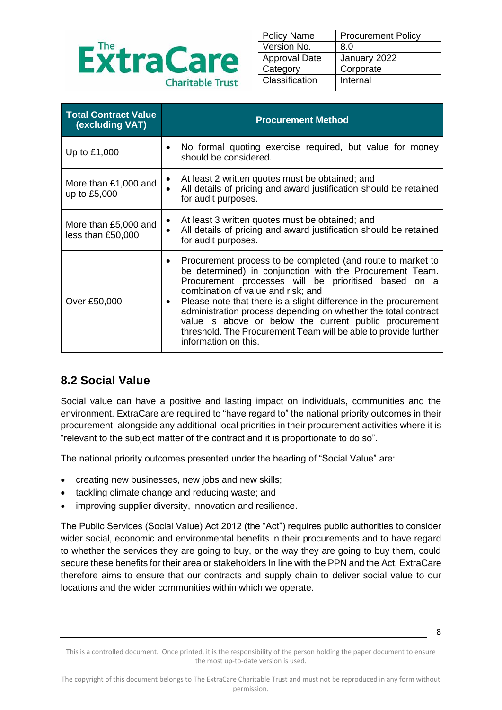

| <b>Policy Name</b>   | <b>Procurement Policy</b> |
|----------------------|---------------------------|
| Version No.          | 8.0                       |
| <b>Approval Date</b> | January 2022              |
| Category             | Corporate                 |
| Classification       | Internal                  |
|                      |                           |

| <b>Total Contract Value</b><br>(excluding VAT) | <b>Procurement Method</b>                                                                                                                                                                                                                                                                                                                                                                                                                                                                                           |
|------------------------------------------------|---------------------------------------------------------------------------------------------------------------------------------------------------------------------------------------------------------------------------------------------------------------------------------------------------------------------------------------------------------------------------------------------------------------------------------------------------------------------------------------------------------------------|
| Up to £1,000                                   | No formal quoting exercise required, but value for money<br>should be considered.                                                                                                                                                                                                                                                                                                                                                                                                                                   |
| More than £1,000 and<br>up to £5,000           | At least 2 written quotes must be obtained; and<br>All details of pricing and award justification should be retained<br>for audit purposes.                                                                                                                                                                                                                                                                                                                                                                         |
| More than £5,000 and<br>less than £50,000      | At least 3 written quotes must be obtained; and<br>All details of pricing and award justification should be retained<br>for audit purposes.                                                                                                                                                                                                                                                                                                                                                                         |
| Over £50,000                                   | Procurement process to be completed (and route to market to<br>be determined) in conjunction with the Procurement Team.<br>Procurement processes will be prioritised based<br>on a<br>combination of value and risk; and<br>Please note that there is a slight difference in the procurement<br>administration process depending on whether the total contract<br>value is above or below the current public procurement<br>threshold. The Procurement Team will be able to provide further<br>information on this. |

### **8.2 Social Value**

Social value can have a positive and lasting impact on individuals, communities and the environment. ExtraCare are required to "have regard to" the national priority outcomes in their procurement, alongside any additional local priorities in their procurement activities where it is "relevant to the subject matter of the contract and it is proportionate to do so".

The national priority outcomes presented under the heading of "Social Value" are:

- creating new businesses, new jobs and new skills;
- tackling climate change and reducing waste; and
- improving supplier diversity, innovation and resilience.

The Public Services (Social Value) Act 2012 (the "Act") requires public authorities to consider wider social, economic and environmental benefits in their procurements and to have regard to whether the services they are going to buy, or the way they are going to buy them, could secure these benefits for their area or stakeholders In line with the PPN and the Act, ExtraCare therefore aims to ensure that our contracts and supply chain to deliver social value to our locations and the wider communities within which we operate.

This is a controlled document. Once printed, it is the responsibility of the person holding the paper document to ensure the most up-to-date version is used.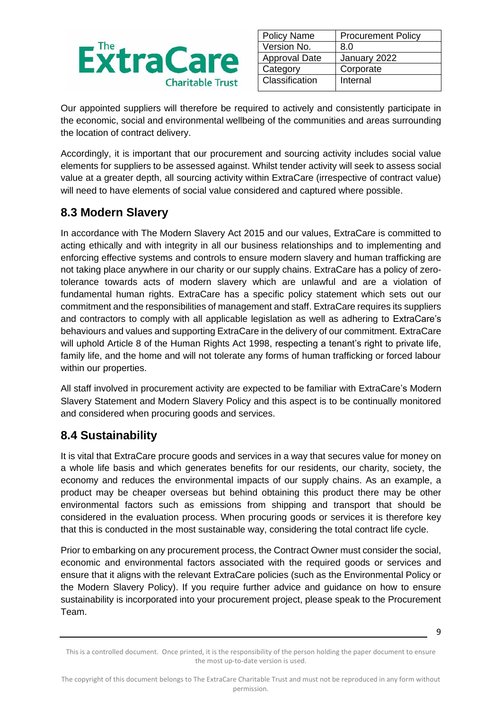

| <b>Policy Name</b>   | <b>Procurement Policy</b> |
|----------------------|---------------------------|
| Version No.          | 8.0                       |
| <b>Approval Date</b> | January 2022              |
| Category             | Corporate                 |
| Classification       | Internal                  |
|                      |                           |

Our appointed suppliers will therefore be required to actively and consistently participate in the economic, social and environmental wellbeing of the communities and areas surrounding the location of contract delivery.

Accordingly, it is important that our procurement and sourcing activity includes social value elements for suppliers to be assessed against. Whilst tender activity will seek to assess social value at a greater depth, all sourcing activity within ExtraCare (irrespective of contract value) will need to have elements of social value considered and captured where possible.

# **8.3 Modern Slavery**

In accordance with The Modern Slavery Act 2015 and our values, ExtraCare is committed to acting ethically and with integrity in all our business relationships and to implementing and enforcing effective systems and controls to ensure modern slavery and human trafficking are not taking place anywhere in our charity or our supply chains. ExtraCare has a policy of zerotolerance towards acts of modern slavery which are unlawful and are a violation of fundamental human rights. ExtraCare has a specific policy statement which sets out our commitment and the responsibilities of management and staff. ExtraCare requires its suppliers and contractors to comply with all applicable legislation as well as adhering to ExtraCare's behaviours and values and supporting ExtraCare in the delivery of our commitment. ExtraCare will uphold Article 8 of the Human Rights Act 1998, respecting a tenant's right to private life, family life, and the home and will not tolerate any forms of human trafficking or forced labour within our properties.

All staff involved in procurement activity are expected to be familiar with ExtraCare's Modern Slavery Statement and Modern Slavery Policy and this aspect is to be continually monitored and considered when procuring goods and services.

# **8.4 Sustainability**

It is vital that ExtraCare procure goods and services in a way that secures value for money on a whole life basis and which generates benefits for our residents, our charity, society, the economy and reduces the environmental impacts of our supply chains. As an example, a product may be cheaper overseas but behind obtaining this product there may be other environmental factors such as emissions from shipping and transport that should be considered in the evaluation process. When procuring goods or services it is therefore key that this is conducted in the most sustainable way, considering the total contract life cycle.

Prior to embarking on any procurement process, the Contract Owner must consider the social, economic and environmental factors associated with the required goods or services and ensure that it aligns with the relevant ExtraCare policies (such as the Environmental Policy or the Modern Slavery Policy). If you require further advice and guidance on how to ensure sustainability is incorporated into your procurement project, please speak to the Procurement Team.

<sup>9</sup>

This is a controlled document. Once printed, it is the responsibility of the person holding the paper document to ensure the most up-to-date version is used.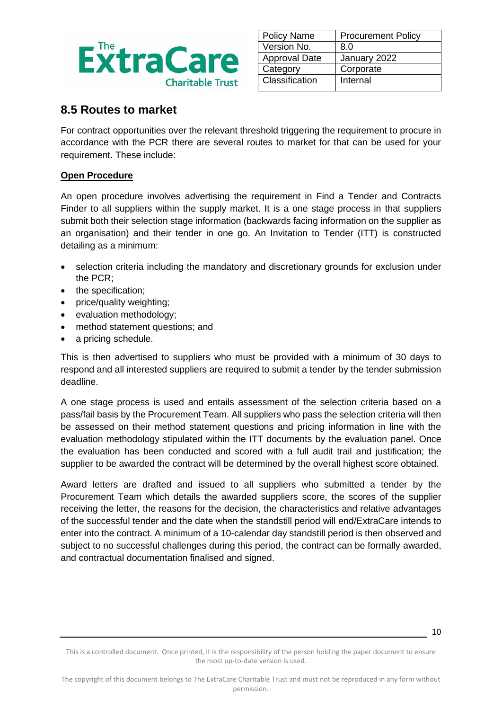

| <b>Policy Name</b>   | <b>Procurement Policy</b> |
|----------------------|---------------------------|
| Version No.          | 8.0                       |
| <b>Approval Date</b> | January 2022              |
| Category             | Corporate                 |
| Classification       | Internal                  |
|                      |                           |

### **8.5 Routes to market**

For contract opportunities over the relevant threshold triggering the requirement to procure in accordance with the PCR there are several routes to market for that can be used for your requirement. These include:

#### **Open Procedure**

An open procedure involves advertising the requirement in Find a Tender and Contracts Finder to all suppliers within the supply market. It is a one stage process in that suppliers submit both their selection stage information (backwards facing information on the supplier as an organisation) and their tender in one go. An Invitation to Tender (ITT) is constructed detailing as a minimum:

- selection criteria including the mandatory and discretionary grounds for exclusion under the PCR;
- the specification;
- price/quality weighting;
- evaluation methodology;
- method statement questions; and
- a pricing schedule.

This is then advertised to suppliers who must be provided with a minimum of 30 days to respond and all interested suppliers are required to submit a tender by the tender submission deadline.

A one stage process is used and entails assessment of the selection criteria based on a pass/fail basis by the Procurement Team. All suppliers who pass the selection criteria will then be assessed on their method statement questions and pricing information in line with the evaluation methodology stipulated within the ITT documents by the evaluation panel. Once the evaluation has been conducted and scored with a full audit trail and justification; the supplier to be awarded the contract will be determined by the overall highest score obtained.

Award letters are drafted and issued to all suppliers who submitted a tender by the Procurement Team which details the awarded suppliers score, the scores of the supplier receiving the letter, the reasons for the decision, the characteristics and relative advantages of the successful tender and the date when the standstill period will end/ExtraCare intends to enter into the contract. A minimum of a 10-calendar day standstill period is then observed and subject to no successful challenges during this period, the contract can be formally awarded, and contractual documentation finalised and signed.

<sup>10</sup>

This is a controlled document. Once printed, it is the responsibility of the person holding the paper document to ensure the most up-to-date version is used.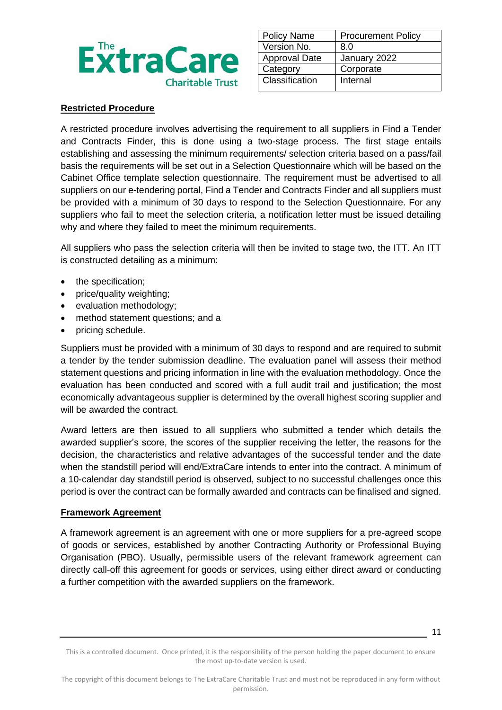

| <b>Policy Name</b>   | <b>Procurement Policy</b> |
|----------------------|---------------------------|
| Version No.          | 8.0                       |
| <b>Approval Date</b> | January 2022              |
| Category             | Corporate                 |
| Classification       | Internal                  |
|                      |                           |

#### **Restricted Procedure**

A restricted procedure involves advertising the requirement to all suppliers in Find a Tender and Contracts Finder, this is done using a two-stage process. The first stage entails establishing and assessing the minimum requirements/ selection criteria based on a pass/fail basis the requirements will be set out in a Selection Questionnaire which will be based on the Cabinet Office template selection questionnaire. The requirement must be advertised to all suppliers on our e-tendering portal, Find a Tender and Contracts Finder and all suppliers must be provided with a minimum of 30 days to respond to the Selection Questionnaire. For any suppliers who fail to meet the selection criteria, a notification letter must be issued detailing why and where they failed to meet the minimum requirements.

All suppliers who pass the selection criteria will then be invited to stage two, the ITT. An ITT is constructed detailing as a minimum:

- the specification;
- price/quality weighting;
- evaluation methodology;
- method statement questions; and a
- pricing schedule.

Suppliers must be provided with a minimum of 30 days to respond and are required to submit a tender by the tender submission deadline. The evaluation panel will assess their method statement questions and pricing information in line with the evaluation methodology. Once the evaluation has been conducted and scored with a full audit trail and justification; the most economically advantageous supplier is determined by the overall highest scoring supplier and will be awarded the contract.

Award letters are then issued to all suppliers who submitted a tender which details the awarded supplier's score, the scores of the supplier receiving the letter, the reasons for the decision, the characteristics and relative advantages of the successful tender and the date when the standstill period will end/ExtraCare intends to enter into the contract. A minimum of a 10-calendar day standstill period is observed, subject to no successful challenges once this period is over the contract can be formally awarded and contracts can be finalised and signed.

#### **Framework Agreement**

A framework agreement is an agreement with one or more suppliers for a pre-agreed scope of goods or services, established by another Contracting Authority or Professional Buying Organisation (PBO). Usually, permissible users of the relevant framework agreement can directly call-off this agreement for goods or services, using either direct award or conducting a further competition with the awarded suppliers on the framework.

<sup>11</sup>

This is a controlled document. Once printed, it is the responsibility of the person holding the paper document to ensure the most up-to-date version is used.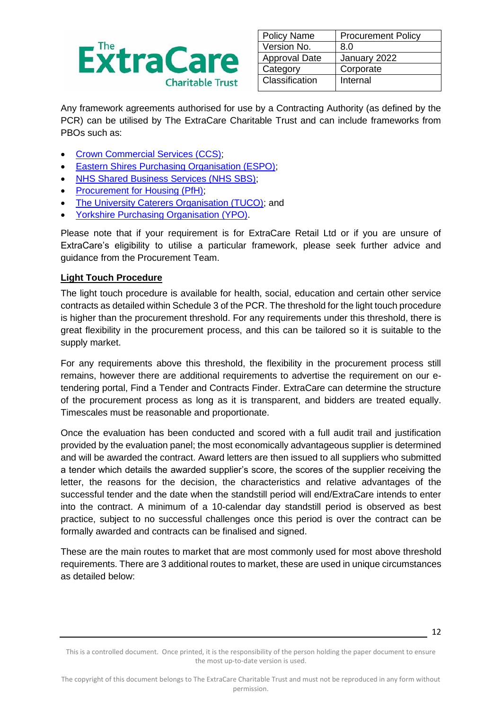

| <b>Policy Name</b>   | <b>Procurement Policy</b> |
|----------------------|---------------------------|
| Version No.          | 8.0                       |
| <b>Approval Date</b> | January 2022              |
| Category             | Corporate                 |
| Classification       | Internal                  |

Any framework agreements authorised for use by a Contracting Authority (as defined by the PCR) can be utilised by The ExtraCare Charitable Trust and can include frameworks from PBOs such as:

- [Crown Commercial Services \(CCS\);](https://www.crowncommercial.gov.uk/agreements)
- Eastern Shires Purchasing Organisation (ESPO):
- [NHS Shared Business Services \(NHS SBS\);](https://www.sbs.nhs.uk/proc-framework-agreements-support#Framework%20Agreements)
- Procurement for Housing (PfH):
- [The University Caterers Organisation \(TUCO\);](https://www.tuco.ac.uk/procurement/frameworks) and
- [Yorkshire Purchasing Organisation \(YPO\).](https://www.ypo.co.uk/frameworks-home)

Please note that if your requirement is for ExtraCare Retail Ltd or if you are unsure of ExtraCare's eligibility to utilise a particular framework, please seek further advice and guidance from the Procurement Team.

#### **Light Touch Procedure**

The light touch procedure is available for health, social, education and certain other service contracts as detailed within Schedule 3 of the PCR. The threshold for the light touch procedure is higher than the procurement threshold. For any requirements under this threshold, there is great flexibility in the procurement process, and this can be tailored so it is suitable to the supply market.

For any requirements above this threshold, the flexibility in the procurement process still remains, however there are additional requirements to advertise the requirement on our etendering portal, Find a Tender and Contracts Finder. ExtraCare can determine the structure of the procurement process as long as it is transparent, and bidders are treated equally. Timescales must be reasonable and proportionate.

Once the evaluation has been conducted and scored with a full audit trail and justification provided by the evaluation panel; the most economically advantageous supplier is determined and will be awarded the contract. Award letters are then issued to all suppliers who submitted a tender which details the awarded supplier's score, the scores of the supplier receiving the letter, the reasons for the decision, the characteristics and relative advantages of the successful tender and the date when the standstill period will end/ExtraCare intends to enter into the contract. A minimum of a 10-calendar day standstill period is observed as best practice, subject to no successful challenges once this period is over the contract can be formally awarded and contracts can be finalised and signed.

These are the main routes to market that are most commonly used for most above threshold requirements. There are 3 additional routes to market, these are used in unique circumstances as detailed below:

<sup>12</sup>

This is a controlled document. Once printed, it is the responsibility of the person holding the paper document to ensure the most up-to-date version is used.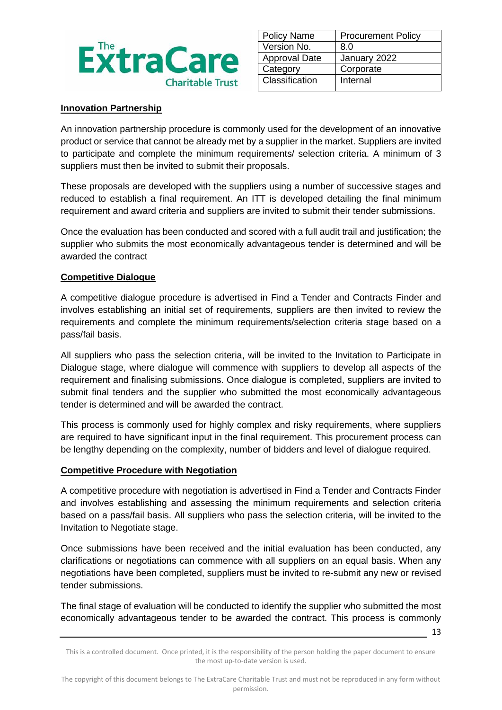

| <b>Policy Name</b>   | <b>Procurement Policy</b> |
|----------------------|---------------------------|
| Version No.          | 8.0                       |
| <b>Approval Date</b> | January 2022              |
| Category             | Corporate                 |
| Classification       | Internal                  |
|                      |                           |

#### **Innovation Partnership**

An innovation partnership procedure is commonly used for the development of an innovative product or service that cannot be already met by a supplier in the market. Suppliers are invited to participate and complete the minimum requirements/ selection criteria. A minimum of 3 suppliers must then be invited to submit their proposals.

These proposals are developed with the suppliers using a number of successive stages and reduced to establish a final requirement. An ITT is developed detailing the final minimum requirement and award criteria and suppliers are invited to submit their tender submissions.

Once the evaluation has been conducted and scored with a full audit trail and justification; the supplier who submits the most economically advantageous tender is determined and will be awarded the contract

#### **Competitive Dialogue**

A competitive dialogue procedure is advertised in Find a Tender and Contracts Finder and involves establishing an initial set of requirements, suppliers are then invited to review the requirements and complete the minimum requirements/selection criteria stage based on a pass/fail basis.

All suppliers who pass the selection criteria, will be invited to the Invitation to Participate in Dialogue stage, where dialogue will commence with suppliers to develop all aspects of the requirement and finalising submissions. Once dialogue is completed, suppliers are invited to submit final tenders and the supplier who submitted the most economically advantageous tender is determined and will be awarded the contract.

This process is commonly used for highly complex and risky requirements, where suppliers are required to have significant input in the final requirement. This procurement process can be lengthy depending on the complexity, number of bidders and level of dialogue required.

#### **Competitive Procedure with Negotiation**

A competitive procedure with negotiation is advertised in Find a Tender and Contracts Finder and involves establishing and assessing the minimum requirements and selection criteria based on a pass/fail basis. All suppliers who pass the selection criteria, will be invited to the Invitation to Negotiate stage.

Once submissions have been received and the initial evaluation has been conducted, any clarifications or negotiations can commence with all suppliers on an equal basis. When any negotiations have been completed, suppliers must be invited to re-submit any new or revised tender submissions.

The final stage of evaluation will be conducted to identify the supplier who submitted the most economically advantageous tender to be awarded the contract. This process is commonly

This is a controlled document. Once printed, it is the responsibility of the person holding the paper document to ensure the most up-to-date version is used.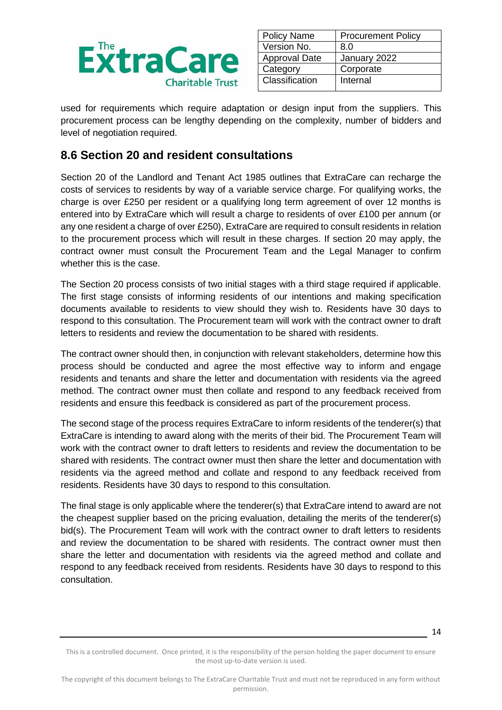

| <b>Policy Name</b>   | <b>Procurement Policy</b> |
|----------------------|---------------------------|
| Version No.          | 8.0                       |
| <b>Approval Date</b> | January 2022              |
| Category             | Corporate                 |
| Classification       | Internal                  |
|                      |                           |

used for requirements which require adaptation or design input from the suppliers. This procurement process can be lengthy depending on the complexity, number of bidders and level of negotiation required.

### **8.6 Section 20 and resident consultations**

Section 20 of the Landlord and Tenant Act 1985 outlines that ExtraCare can recharge the costs of services to residents by way of a variable service charge. For qualifying works, the charge is over £250 per resident or a qualifying long term agreement of over 12 months is entered into by ExtraCare which will result a charge to residents of over £100 per annum (or any one resident a charge of over £250), ExtraCare are required to consult residents in relation to the procurement process which will result in these charges. If section 20 may apply, the contract owner must consult the Procurement Team and the Legal Manager to confirm whether this is the case.

The Section 20 process consists of two initial stages with a third stage required if applicable. The first stage consists of informing residents of our intentions and making specification documents available to residents to view should they wish to. Residents have 30 days to respond to this consultation. The Procurement team will work with the contract owner to draft letters to residents and review the documentation to be shared with residents.

The contract owner should then, in conjunction with relevant stakeholders, determine how this process should be conducted and agree the most effective way to inform and engage residents and tenants and share the letter and documentation with residents via the agreed method. The contract owner must then collate and respond to any feedback received from residents and ensure this feedback is considered as part of the procurement process.

The second stage of the process requires ExtraCare to inform residents of the tenderer(s) that ExtraCare is intending to award along with the merits of their bid. The Procurement Team will work with the contract owner to draft letters to residents and review the documentation to be shared with residents. The contract owner must then share the letter and documentation with residents via the agreed method and collate and respond to any feedback received from residents. Residents have 30 days to respond to this consultation.

The final stage is only applicable where the tenderer(s) that ExtraCare intend to award are not the cheapest supplier based on the pricing evaluation, detailing the merits of the tenderer(s) bid(s). The Procurement Team will work with the contract owner to draft letters to residents and review the documentation to be shared with residents. The contract owner must then share the letter and documentation with residents via the agreed method and collate and respond to any feedback received from residents. Residents have 30 days to respond to this consultation.

<sup>14</sup>

This is a controlled document. Once printed, it is the responsibility of the person holding the paper document to ensure the most up-to-date version is used.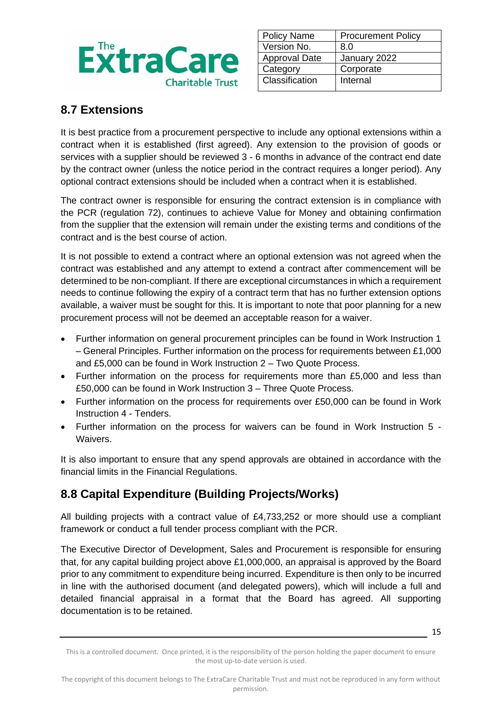

| <b>Policy Name</b>   | <b>Procurement Policy</b> |
|----------------------|---------------------------|
| Version No.          | 8.0                       |
| <b>Approval Date</b> | January 2022              |
| Category             | Corporate                 |
| Classification       | Internal                  |
|                      |                           |

### **8.7 Extensions**

It is best practice from a procurement perspective to include any optional extensions within a contract when it is established (first agreed). Any extension to the provision of goods or services with a supplier should be reviewed 3 - 6 months in advance of the contract end date by the contract owner (unless the notice period in the contract requires a longer period). Any optional contract extensions should be included when a contract when it is established.

The contract owner is responsible for ensuring the contract extension is in compliance with the PCR (regulation 72), continues to achieve Value for Money and obtaining confirmation from the supplier that the extension will remain under the existing terms and conditions of the contract and is the best course of action.

It is not possible to extend a contract where an optional extension was not agreed when the contract was established and any attempt to extend a contract after commencement will be determined to be non-compliant. If there are exceptional circumstances in which a requirement needs to continue following the expiry of a contract term that has no further extension options available, a waiver must be sought for this. It is important to note that poor planning for a new procurement process will not be deemed an acceptable reason for a waiver.

- Further information on general procurement principles can be found in Work Instruction 1 – General Principles. Further information on the process for requirements between £1,000 and £5,000 can be found in Work Instruction 2 – Two Quote Process.
- Further information on the process for requirements more than £5,000 and less than £50,000 can be found in Work Instruction 3 – Three Quote Process.
- Further information on the process for requirements over £50,000 can be found in Work Instruction 4 - Tenders.
- Further information on the process for waivers can be found in Work Instruction 5 Waivers.

It is also important to ensure that any spend approvals are obtained in accordance with the financial limits in the Financial Regulations.

# **8.8 Capital Expenditure (Building Projects/Works)**

All building projects with a contract value of £4,733,252 or more should use a compliant framework or conduct a full tender process compliant with the PCR.

The Executive Director of Development, Sales and Procurement is responsible for ensuring that, for any capital building project above £1,000,000, an appraisal is approved by the Board prior to any commitment to expenditure being incurred. Expenditure is then only to be incurred in line with the authorised document (and delegated powers), which will include a full and detailed financial appraisal in a format that the Board has agreed. All supporting documentation is to be retained.

This is a controlled document. Once printed, it is the responsibility of the person holding the paper document to ensure the most up-to-date version is used.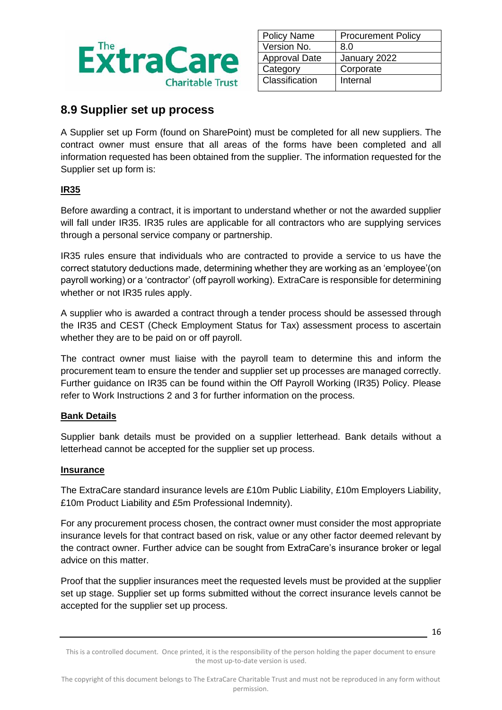

| <b>Policy Name</b>   | <b>Procurement Policy</b> |
|----------------------|---------------------------|
| Version No.          | 8.0                       |
| <b>Approval Date</b> | January 2022              |
| Category             | Corporate                 |
| Classification       | Internal                  |
|                      |                           |

### **8.9 Supplier set up process**

A Supplier set up Form (found on SharePoint) must be completed for all new suppliers. The contract owner must ensure that all areas of the forms have been completed and all information requested has been obtained from the supplier. The information requested for the Supplier set up form is:

#### **IR35**

Before awarding a contract, it is important to understand whether or not the awarded supplier will fall under IR35. IR35 rules are applicable for all contractors who are supplying services through a personal service company or partnership.

IR35 rules ensure that individuals who are contracted to provide a service to us have the correct statutory deductions made, determining whether they are working as an 'employee'(on payroll working) or a 'contractor' (off payroll working). ExtraCare is responsible for determining whether or not IR35 rules apply.

A supplier who is awarded a contract through a tender process should be assessed through the IR35 and CEST (Check Employment Status for Tax) assessment process to ascertain whether they are to be paid on or off payroll.

The contract owner must liaise with the payroll team to determine this and inform the procurement team to ensure the tender and supplier set up processes are managed correctly. Further guidance on IR35 can be found within the Off Payroll Working (IR35) Policy. Please refer to Work Instructions 2 and 3 for further information on the process.

#### **Bank Details**

Supplier bank details must be provided on a supplier letterhead. Bank details without a letterhead cannot be accepted for the supplier set up process.

#### **Insurance**

The ExtraCare standard insurance levels are £10m Public Liability, £10m Employers Liability, £10m Product Liability and £5m Professional Indemnity).

For any procurement process chosen, the contract owner must consider the most appropriate insurance levels for that contract based on risk, value or any other factor deemed relevant by the contract owner. Further advice can be sought from ExtraCare's insurance broker or legal advice on this matter.

Proof that the supplier insurances meet the requested levels must be provided at the supplier set up stage. Supplier set up forms submitted without the correct insurance levels cannot be accepted for the supplier set up process.

This is a controlled document. Once printed, it is the responsibility of the person holding the paper document to ensure the most up-to-date version is used.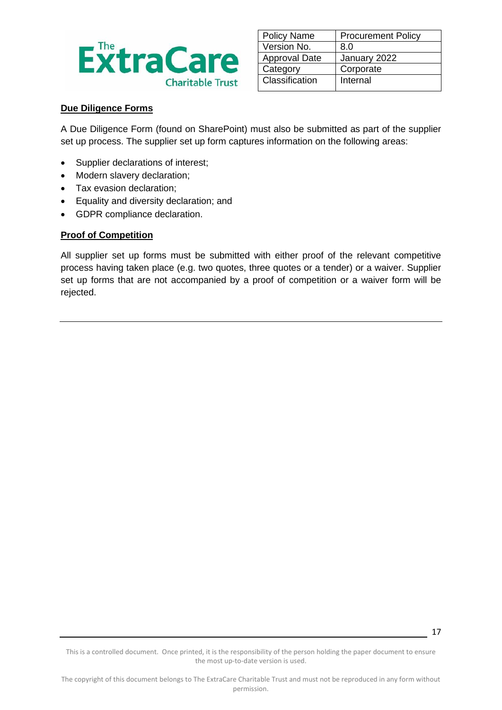

| <b>Procurement Policy</b> |
|---------------------------|
| 8.0                       |
| January 2022              |
| Corporate                 |
| Internal                  |
|                           |

#### **Due Diligence Forms**

A Due Diligence Form (found on SharePoint) must also be submitted as part of the supplier set up process. The supplier set up form captures information on the following areas:

- Supplier declarations of interest;
- Modern slavery declaration;
- Tax evasion declaration;
- Equality and diversity declaration; and
- GDPR compliance declaration.

#### **Proof of Competition**

All supplier set up forms must be submitted with either proof of the relevant competitive process having taken place (e.g. two quotes, three quotes or a tender) or a waiver. Supplier set up forms that are not accompanied by a proof of competition or a waiver form will be rejected.

This is a controlled document. Once printed, it is the responsibility of the person holding the paper document to ensure the most up-to-date version is used.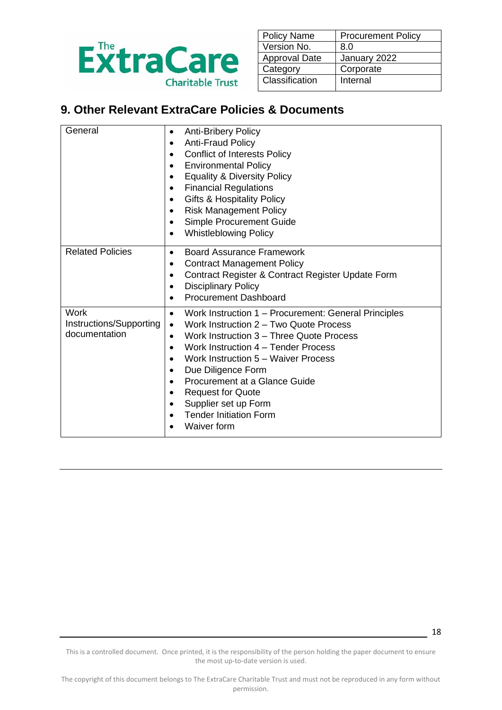

| <b>Policy Name</b>   | <b>Procurement Policy</b> |
|----------------------|---------------------------|
| Version No.          | 8.0                       |
| <b>Approval Date</b> | January 2022              |
| Category             | Corporate                 |
| Classification       | Internal                  |
|                      |                           |

# **9. Other Relevant ExtraCare Policies & Documents**

| General                                          | <b>Anti-Bribery Policy</b><br>$\bullet$<br><b>Anti-Fraud Policy</b><br>$\bullet$<br><b>Conflict of Interests Policy</b><br>$\bullet$<br><b>Environmental Policy</b><br>$\bullet$<br><b>Equality &amp; Diversity Policy</b><br>$\bullet$<br><b>Financial Regulations</b><br>$\bullet$<br><b>Gifts &amp; Hospitality Policy</b><br>$\bullet$<br><b>Risk Management Policy</b><br>$\bullet$<br>Simple Procurement Guide<br>$\bullet$<br><b>Whistleblowing Policy</b><br>$\bullet$                     |
|--------------------------------------------------|----------------------------------------------------------------------------------------------------------------------------------------------------------------------------------------------------------------------------------------------------------------------------------------------------------------------------------------------------------------------------------------------------------------------------------------------------------------------------------------------------|
| <b>Related Policies</b>                          | <b>Board Assurance Framework</b><br>$\bullet$<br><b>Contract Management Policy</b><br>٠<br>Contract Register & Contract Register Update Form<br>$\bullet$<br><b>Disciplinary Policy</b><br>$\bullet$<br><b>Procurement Dashboard</b>                                                                                                                                                                                                                                                               |
| Work<br>Instructions/Supporting<br>documentation | Work Instruction 1 – Procurement: General Principles<br>$\bullet$<br>Work Instruction 2 - Two Quote Process<br>$\bullet$<br>Work Instruction 3 – Three Quote Process<br>$\bullet$<br>Work Instruction 4 - Tender Process<br>$\bullet$<br>Work Instruction 5 – Waiver Process<br>$\bullet$<br>Due Diligence Form<br>$\bullet$<br>Procurement at a Glance Guide<br>$\bullet$<br><b>Request for Quote</b><br>$\bullet$<br>Supplier set up Form<br><b>Tender Initiation Form</b><br><b>Waiver form</b> |